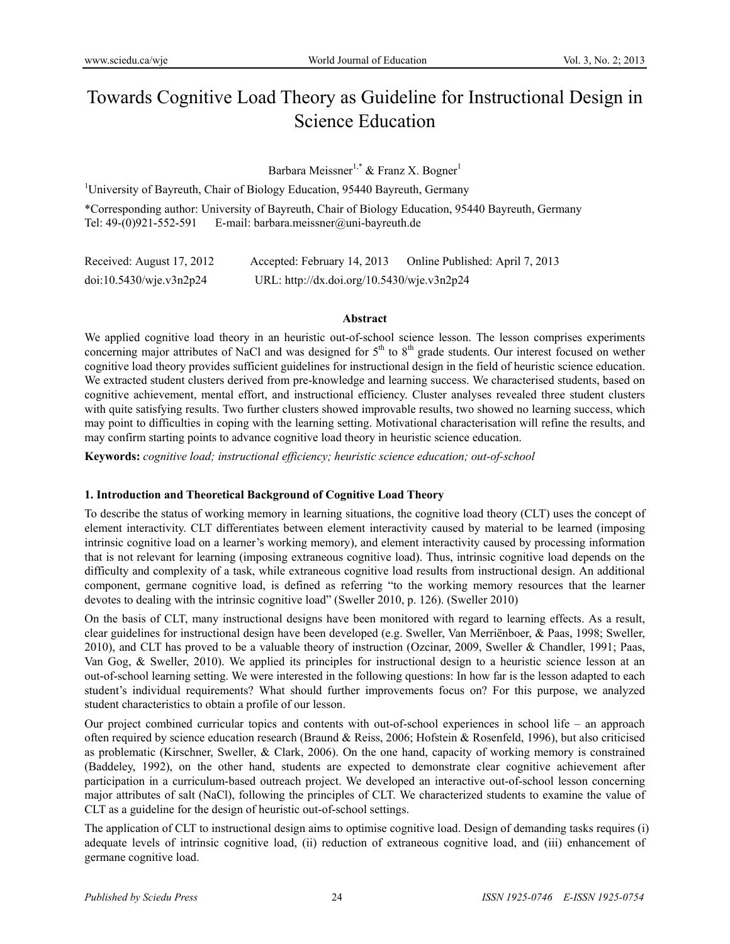# Towards Cognitive Load Theory as Guideline for Instructional Design in Science Education

Barbara Meissner<sup>1,\*</sup> & Franz X. Bogner<sup>1</sup>

<sup>1</sup>University of Bayreuth, Chair of Biology Education, 95440 Bayreuth, Germany

\*Corresponding author: University of Bayreuth, Chair of Biology Education, 95440 Bayreuth, Germany Tel: 49-(0)921-552-591 E-mail: barbara.meissner@uni-bayreuth.de

| Received: August 17, 2012 | Accepted: February 14, 2013                | Online Published: April 7, 2013 |
|---------------------------|--------------------------------------------|---------------------------------|
| doi:10.5430/wje.v3n2p24   | URL: http://dx.doi.org/10.5430/wje.v3n2p24 |                                 |

#### **Abstract**

We applied cognitive load theory in an heuristic out-of-school science lesson. The lesson comprises experiments concerning major attributes of NaCl and was designed for  $5<sup>th</sup>$  to  $8<sup>th</sup>$  grade students. Our interest focused on wether cognitive load theory provides sufficient guidelines for instructional design in the field of heuristic science education. We extracted student clusters derived from pre-knowledge and learning success. We characterised students, based on cognitive achievement, mental effort, and instructional efficiency. Cluster analyses revealed three student clusters with quite satisfying results. Two further clusters showed improvable results, two showed no learning success, which may point to difficulties in coping with the learning setting. Motivational characterisation will refine the results, and may confirm starting points to advance cognitive load theory in heuristic science education.

**Keywords:** *cognitive load; instructional efficiency; heuristic science education; out-of-school*

# **1. Introduction and Theoretical Background of Cognitive Load Theory**

To describe the status of working memory in learning situations, the cognitive load theory (CLT) uses the concept of element interactivity. CLT differentiates between element interactivity caused by material to be learned (imposing intrinsic cognitive load on a learner's working memory), and element interactivity caused by processing information that is not relevant for learning (imposing extraneous cognitive load). Thus, intrinsic cognitive load depends on the difficulty and complexity of a task, while extraneous cognitive load results from instructional design. An additional component, germane cognitive load, is defined as referring "to the working memory resources that the learner devotes to dealing with the intrinsic cognitive load" (Sweller 2010, p. 126). (Sweller 2010)

On the basis of CLT, many instructional designs have been monitored with regard to learning effects. As a result, clear guidelines for instructional design have been developed (e.g. Sweller, Van Merriёnboer, & Paas, 1998; Sweller, 2010), and CLT has proved to be a valuable theory of instruction (Ozcinar, 2009, Sweller & Chandler, 1991; Paas, Van Gog, & Sweller, 2010). We applied its principles for instructional design to a heuristic science lesson at an out-of-school learning setting. We were interested in the following questions: In how far is the lesson adapted to each student's individual requirements? What should further improvements focus on? For this purpose, we analyzed student characteristics to obtain a profile of our lesson.

Our project combined curricular topics and contents with out-of-school experiences in school life – an approach often required by science education research (Braund & Reiss, 2006; Hofstein & Rosenfeld, 1996), but also criticised as problematic (Kirschner, Sweller, & Clark, 2006). On the one hand, capacity of working memory is constrained (Baddeley, 1992), on the other hand, students are expected to demonstrate clear cognitive achievement after participation in a curriculum-based outreach project. We developed an interactive out-of-school lesson concerning major attributes of salt (NaCl), following the principles of CLT. We characterized students to examine the value of CLT as a guideline for the design of heuristic out-of-school settings.

The application of CLT to instructional design aims to optimise cognitive load. Design of demanding tasks requires (i) adequate levels of intrinsic cognitive load, (ii) reduction of extraneous cognitive load, and (iii) enhancement of germane cognitive load.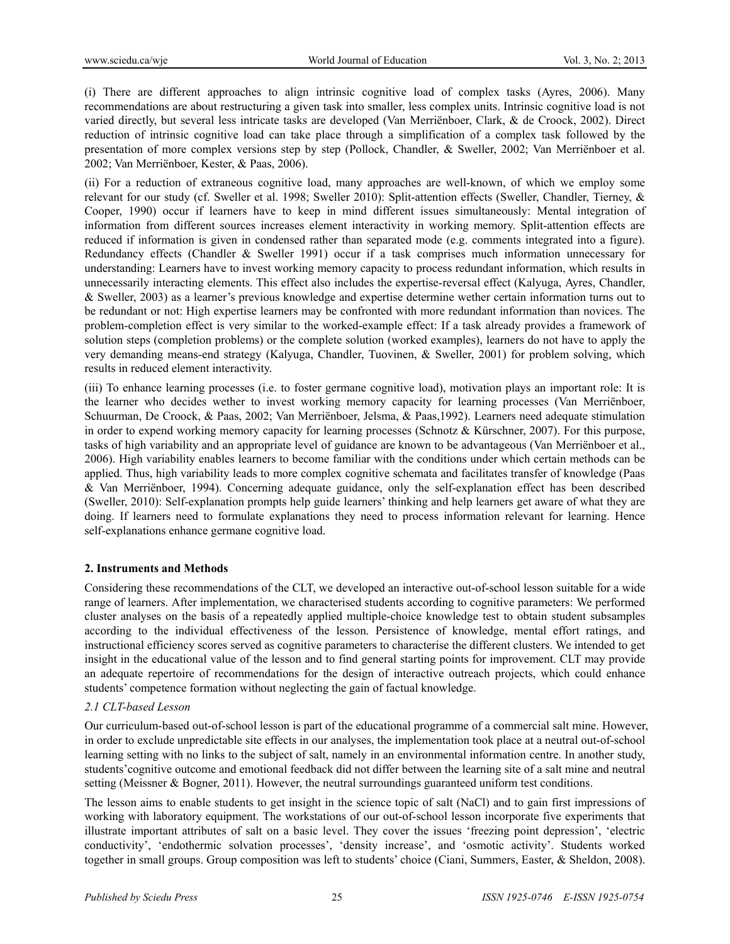(i) There are different approaches to align intrinsic cognitive load of complex tasks (Ayres, 2006). Many recommendations are about restructuring a given task into smaller, less complex units. Intrinsic cognitive load is not varied directly, but several less intricate tasks are developed (Van Merriënboer, Clark, & de Croock, 2002). Direct reduction of intrinsic cognitive load can take place through a simplification of a complex task followed by the presentation of more complex versions step by step (Pollock, Chandler, & Sweller, 2002; Van Merriënboer et al. 2002; Van Merriënboer, Kester, & Paas, 2006).

(ii) For a reduction of extraneous cognitive load, many approaches are well-known, of which we employ some relevant for our study (cf. Sweller et al. 1998; Sweller 2010): Split-attention effects (Sweller, Chandler, Tierney, & Cooper, 1990) occur if learners have to keep in mind different issues simultaneously: Mental integration of information from different sources increases element interactivity in working memory. Split-attention effects are reduced if information is given in condensed rather than separated mode (e.g. comments integrated into a figure). Redundancy effects (Chandler & Sweller 1991) occur if a task comprises much information unnecessary for understanding: Learners have to invest working memory capacity to process redundant information, which results in unnecessarily interacting elements. This effect also includes the expertise-reversal effect (Kalyuga, Ayres, Chandler, & Sweller, 2003) as a learner's previous knowledge and expertise determine wether certain information turns out to be redundant or not: High expertise learners may be confronted with more redundant information than novices. The problem-completion effect is very similar to the worked-example effect: If a task already provides a framework of solution steps (completion problems) or the complete solution (worked examples), learners do not have to apply the very demanding means-end strategy (Kalyuga, Chandler, Tuovinen, & Sweller, 2001) for problem solving, which results in reduced element interactivity.

(iii) To enhance learning processes (i.e. to foster germane cognitive load), motivation plays an important role: It is the learner who decides wether to invest working memory capacity for learning processes (Van Merriënboer, Schuurman, De Croock, & Paas, 2002; Van Merriënboer, Jelsma, & Paas,1992). Learners need adequate stimulation in order to expend working memory capacity for learning processes (Schnotz & Kürschner, 2007). For this purpose, tasks of high variability and an appropriate level of guidance are known to be advantageous (Van Merriënboer et al., 2006). High variability enables learners to become familiar with the conditions under which certain methods can be applied. Thus, high variability leads to more complex cognitive schemata and facilitates transfer of knowledge (Paas & Van Merriënboer, 1994). Concerning adequate guidance, only the self-explanation effect has been described (Sweller, 2010): Self-explanation prompts help guide learners' thinking and help learners get aware of what they are doing. If learners need to formulate explanations they need to process information relevant for learning. Hence self-explanations enhance germane cognitive load.

# **2. Instruments and Methods**

Considering these recommendations of the CLT, we developed an interactive out-of-school lesson suitable for a wide range of learners. After implementation, we characterised students according to cognitive parameters: We performed cluster analyses on the basis of a repeatedly applied multiple-choice knowledge test to obtain student subsamples according to the individual effectiveness of the lesson. Persistence of knowledge, mental effort ratings, and instructional efficiency scores served as cognitive parameters to characterise the different clusters. We intended to get insight in the educational value of the lesson and to find general starting points for improvement. CLT may provide an adequate repertoire of recommendations for the design of interactive outreach projects, which could enhance students' competence formation without neglecting the gain of factual knowledge.

# *2.1 CLT-based Lesson*

Our curriculum-based out-of-school lesson is part of the educational programme of a commercial salt mine. However, in order to exclude unpredictable site effects in our analyses, the implementation took place at a neutral out-of-school learning setting with no links to the subject of salt, namely in an environmental information centre. In another study, students'cognitive outcome and emotional feedback did not differ between the learning site of a salt mine and neutral setting (Meissner & Bogner, 2011). However, the neutral surroundings guaranteed uniform test conditions.

The lesson aims to enable students to get insight in the science topic of salt (NaCl) and to gain first impressions of working with laboratory equipment. The workstations of our out-of-school lesson incorporate five experiments that illustrate important attributes of salt on a basic level. They cover the issues 'freezing point depression', 'electric conductivity', 'endothermic solvation processes', 'density increase', and 'osmotic activity'. Students worked together in small groups. Group composition was left to students' choice (Ciani, Summers, Easter, & Sheldon, 2008).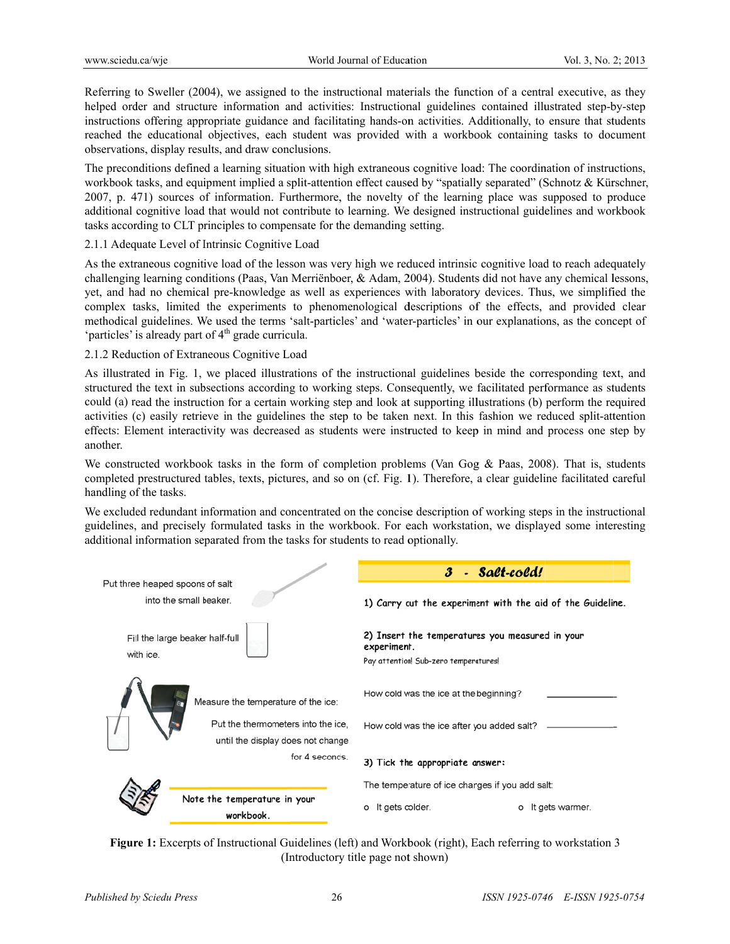Referring to Sweller (2004), we assigned to the instructional materials the function of a central executive, as they helped order and structure information and activities: Instructional guidelines contained illustrated step-by-step instructions offering appropriate guidance and facilitating hands-on activities. Additionally, to ensure that students reached the educational objectives, each student was provided with a workbook containing tasks to document observations, display results, and draw conclusions.

The preconditions defined a learning situation with high extraneous cognitive load: The coordination of instructions, workbook tasks, and equipment implied a split-attention effect caused by "spatially separated" (Schnotz & Kürschner, 2007, p. 471) sources of information. Furthermore, the novelty of the learning place was supposed to produce additional cognitive load that would not contribute to learning. We designed instructional guidelines and workbook tasks according to CLT principles to compensate for the demanding setting.

# 2.1.1 Adequate Level of Intrinsic Cognitive Load

As the extraneous cognitive load of the lesson was very high we reduced intrinsic cognitive load to reach adequately challenging learning conditions (Paas, Van Merriënboer, & Adam, 2004). Students did not have any chemical lessons, yet, and had no chemical pre-knowledge as well as experiences with laboratory devices. Thus, we simplified the complex tasks, limited the experiments to phenomenological descriptions of the effects, and provided clear methodical guidelines. We used the terms 'salt-particles' and 'water-particles' in our explanations, as the concept of 'particles' is already part of  $4<sup>th</sup>$  grade curricula.

#### 2.1.2 Reduction of Extraneous Cognitive Load

As illustrated in Fig. 1, we placed illustrations of the instructional guidelines beside the corresponding text, and structured the text in subsections according to working steps. Consequently, we facilitated performance as students could (a) read the instruction for a certain working step and look at supporting illustrations (b) perform the required activities (c) easily retrieve in the guidelines the step to be taken next. In this fashion we reduced split-attention effects: Element interactivity was decreased as students were instructed to keep in mind and process one step by another.

We constructed workbook tasks in the form of completion problems (Van Gog & Paas, 2008). That is, students completed prestructured tables, texts, pictures, and so on (cf. Fig. 1). Therefore, a clear guideline facilitated careful handling of the tasks.

We excluded redundant information and concentrated on the concise description of working steps in the instructional guidelines, and precisely formulated tasks in the workbook. For each workstation, we displayed some interesting additional information separated from the tasks for students to read optionally.

|                                                                         | - Salt-cold!<br>3                                              |  |  |  |
|-------------------------------------------------------------------------|----------------------------------------------------------------|--|--|--|
| Put three heaped spoons of salt<br>into the small beaker.               | 1) Carry out the experiment with the aid of the Guideline.     |  |  |  |
| Fill the large beaker half-full<br>with ice.                            | 2) Insert the temperatures you measured in your<br>experiment. |  |  |  |
|                                                                         | Pay attention! Sub-zero temperatures!                          |  |  |  |
| Measure the temperature of the ice:                                     | How cold was the ice at the beginning?                         |  |  |  |
| Put the thermometers into the ice.<br>until the display does not change | How cold was the ice after you added salt?                     |  |  |  |
| for 4 seconds                                                           | 3) Tick the appropriate answer:                                |  |  |  |
|                                                                         | The temperature of ice changes if you add salt:                |  |  |  |
| Note the temperature in your<br>workbook.                               | It gets colder.<br>It gets warmer.<br>o<br>$\circ$             |  |  |  |

Figure 1: Excerpts of Instructional Guidelines (left) and Workbook (right), Each referring to workstation 3 (Introductory title page not shown)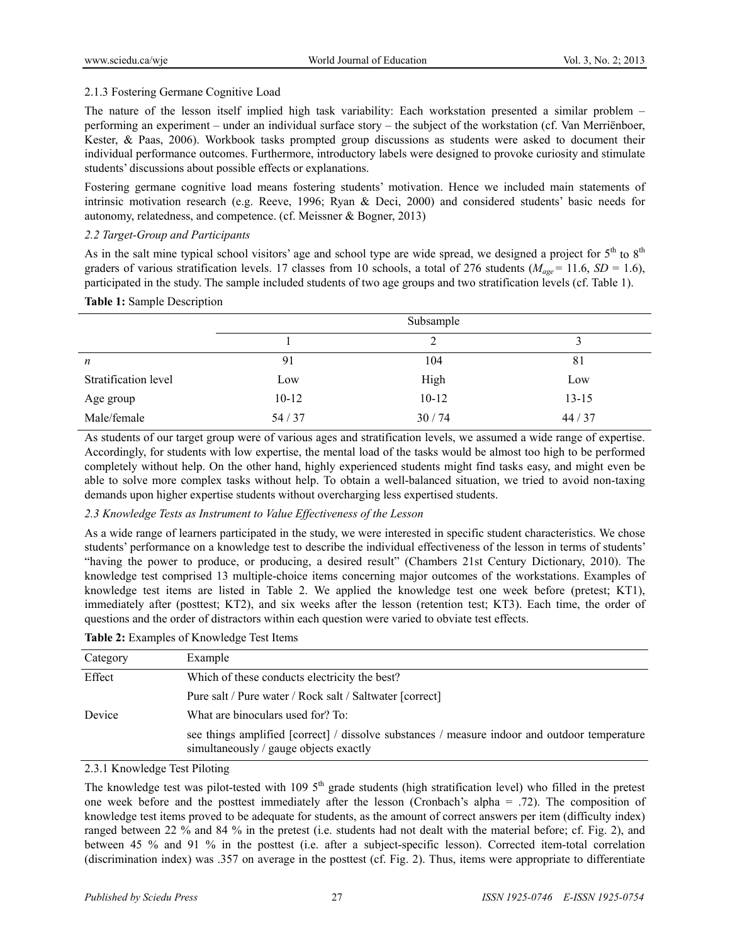# 2.1.3 Fostering Germane Cognitive Load

The nature of the lesson itself implied high task variability: Each workstation presented a similar problem – performing an experiment – under an individual surface story – the subject of the workstation (cf. Van Merriënboer, Kester, & Paas, 2006). Workbook tasks prompted group discussions as students were asked to document their individual performance outcomes. Furthermore, introductory labels were designed to provoke curiosity and stimulate students' discussions about possible effects or explanations.

Fostering germane cognitive load means fostering students' motivation. Hence we included main statements of intrinsic motivation research (e.g. Reeve, 1996; Ryan & Deci, 2000) and considered students' basic needs for autonomy, relatedness, and competence. (cf. Meissner & Bogner, 2013)

# *2.2 Target-Group and Participants*

As in the salt mine typical school visitors' age and school type are wide spread, we designed a project for  $5<sup>th</sup>$  to  $8<sup>th</sup>$ graders of various stratification levels. 17 classes from 10 schools, a total of 276 students ( $M_{age}$  = 11.6,  $SD = 1.6$ ), participated in the study. The sample included students of two age groups and two stratification levels (cf. Table 1).

#### **Table 1:** Sample Description

|                      |         | Subsample |           |
|----------------------|---------|-----------|-----------|
|                      |         |           |           |
| $\boldsymbol{n}$     | 91      | 104       | 81        |
| Stratification level | Low     | High      | Low       |
| Age group            | $10-12$ | $10 - 12$ | $13 - 15$ |
| Male/female          | 54/37   | 30/74     | 44 / 37   |

As students of our target group were of various ages and stratification levels, we assumed a wide range of expertise. Accordingly, for students with low expertise, the mental load of the tasks would be almost too high to be performed completely without help. On the other hand, highly experienced students might find tasks easy, and might even be able to solve more complex tasks without help. To obtain a well-balanced situation, we tried to avoid non-taxing demands upon higher expertise students without overcharging less expertised students.

# *2.3 Knowledge Tests as Instrument to Value Effectiveness of the Lesson*

As a wide range of learners participated in the study, we were interested in specific student characteristics. We chose students' performance on a knowledge test to describe the individual effectiveness of the lesson in terms of students' "having the power to produce, or producing, a desired result" (Chambers 21st Century Dictionary, 2010). The knowledge test comprised 13 multiple-choice items concerning major outcomes of the workstations. Examples of knowledge test items are listed in Table 2. We applied the knowledge test one week before (pretest; KT1), immediately after (posttest; KT2), and six weeks after the lesson (retention test; KT3). Each time, the order of questions and the order of distractors within each question were varied to obviate test effects.

**Table 2:** Examples of Knowledge Test Items

| Category | Example                                                                                                                                 |
|----------|-----------------------------------------------------------------------------------------------------------------------------------------|
| Effect   | Which of these conducts electricity the best?                                                                                           |
|          | Pure salt / Pure water / Rock salt / Saltwater [correct]                                                                                |
| Device   | What are binoculars used for? To:                                                                                                       |
|          | see things amplified [correct] / dissolve substances / measure indoor and outdoor temperature<br>simultaneously / gauge objects exactly |

2.3.1 Knowledge Test Piloting

The knowledge test was pilot-tested with 109  $5<sup>th</sup>$  grade students (high stratification level) who filled in the pretest one week before and the posttest immediately after the lesson (Cronbach's alpha = .72). The composition of knowledge test items proved to be adequate for students, as the amount of correct answers per item (difficulty index) ranged between 22 % and 84 % in the pretest (i.e. students had not dealt with the material before; cf. Fig. 2), and between 45 % and 91 % in the posttest (i.e. after a subject-specific lesson). Corrected item-total correlation (discrimination index) was .357 on average in the posttest (cf. Fig. 2). Thus, items were appropriate to differentiate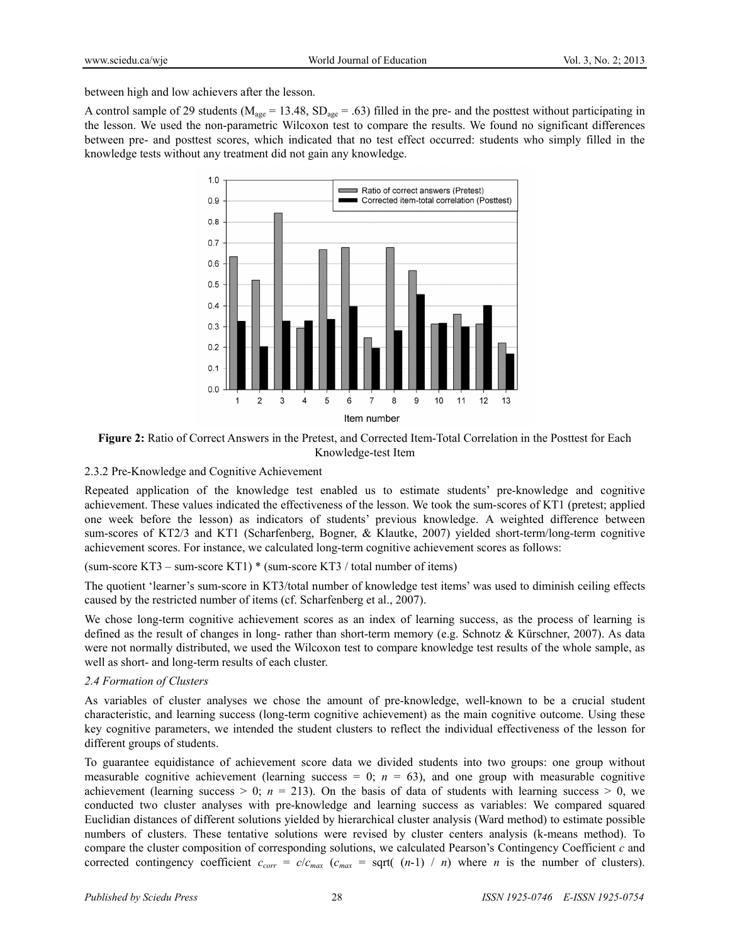between high and low achievers after the lesson.

A control sample of 29 students ( $M_{\text{age}} = 13.48$ ,  $SD_{\text{age}} = .63$ ) filled in the pre- and the posttest without participating in the lesson. We used the non-parametric Wilcoxon test to compare the results. We found no significant differences between pre- and posttest scores, which indicated that no test effect occurred: students who simply filled in the knowledge tests without any treatment did not gain any knowledge.



**Figure 2:** Ratio of Correct Answers in the Pretest, and Corrected Item-Total Correlation in the Posttest for Each Knowledge-test Item

#### 2.3.2 Pre-Knowledge and Cognitive Achievement

Repeated application of the knowledge test enabled us to estimate students' pre-knowledge and cognitive achievement. These values indicated the effectiveness of the lesson. We took the sum-scores of KT1 (pretest; applied one week before the lesson) as indicators of students' previous knowledge. A weighted difference between sum-scores of KT2/3 and KT1 (Scharfenberg, Bogner, & Klautke, 2007) yielded short-term/long-term cognitive achievement scores. For instance, we calculated long-term cognitive achievement scores as follows:

(sum-score KT3 – sum-score KT1)  $*$  (sum-score KT3 / total number of items)

The quotient 'learner's sum-score in KT3/total number of knowledge test items' was used to diminish ceiling effects caused by the restricted number of items (cf. Scharfenberg et al., 2007).

We chose long-term cognitive achievement scores as an index of learning success, as the process of learning is defined as the result of changes in long- rather than short-term memory (e.g. Schnotz & Kürschner, 2007). As data were not normally distributed, we used the Wilcoxon test to compare knowledge test results of the whole sample, as well as short- and long-term results of each cluster.

#### *2.4 Formation of Clusters*

As variables of cluster analyses we chose the amount of pre-knowledge, well-known to be a crucial student characteristic, and learning success (long-term cognitive achievement) as the main cognitive outcome. Using these key cognitive parameters, we intended the student clusters to reflect the individual effectiveness of the lesson for different groups of students.

To guarantee equidistance of achievement score data we divided students into two groups: one group without measurable cognitive achievement (learning success  $= 0$ ;  $n = 63$ ), and one group with measurable cognitive achievement (learning success  $> 0$ ;  $n = 213$ ). On the basis of data of students with learning success  $> 0$ , we conducted two cluster analyses with pre-knowledge and learning success as variables: We compared squared Euclidian distances of different solutions yielded by hierarchical cluster analysis (Ward method) to estimate possible numbers of clusters. These tentative solutions were revised by cluster centers analysis (k-means method). To compare the cluster composition of corresponding solutions, we calculated Pearson's Contingency Coefficient *c* and corrected contingency coefficient  $c_{corr} = c/c_{max}$  ( $c_{max} =$  sqrt( $(n-1) / n$ ) where *n* is the number of clusters).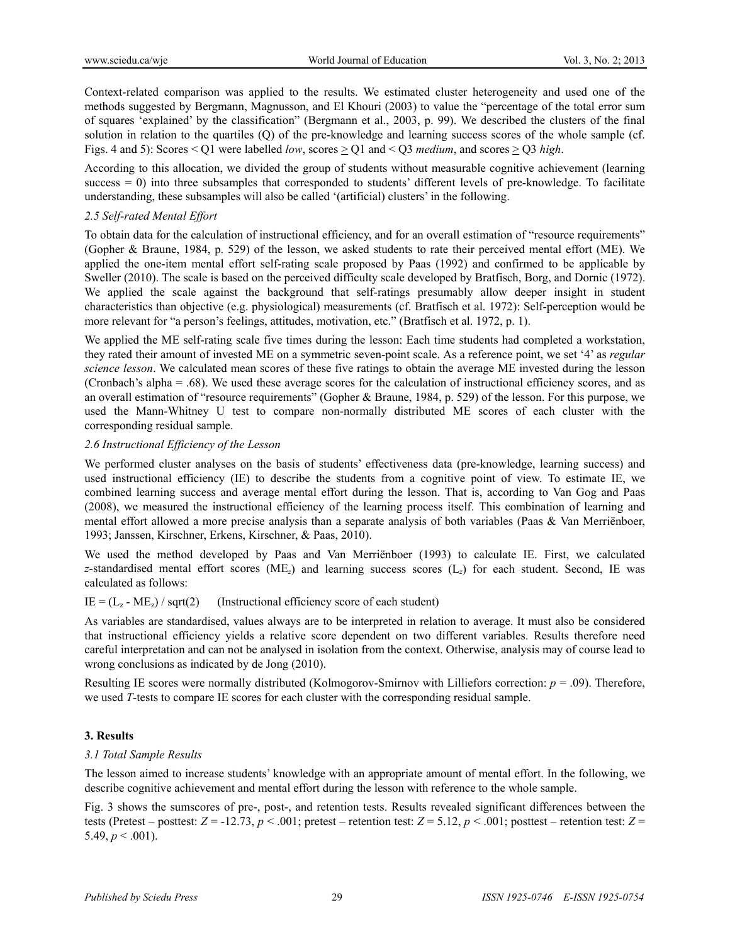Context-related comparison was applied to the results. We estimated cluster heterogeneity and used one of the methods suggested by Bergmann, Magnusson, and El Khouri (2003) to value the "percentage of the total error sum of squares 'explained' by the classification" (Bergmann et al., 2003, p. 99). We described the clusters of the final solution in relation to the quartiles (Q) of the pre-knowledge and learning success scores of the whole sample (cf. Figs. 4 and 5): Scores  $\leq$  Q1 were labelled *low*, scores  $\geq$  Q1 and  $\leq$  Q3 *medium*, and scores  $\geq$  Q3 *high*.

According to this allocation, we divided the group of students without measurable cognitive achievement (learning success = 0) into three subsamples that corresponded to students' different levels of pre-knowledge. To facilitate understanding, these subsamples will also be called '(artificial) clusters' in the following.

# *2.5 Self-rated Mental Effort*

To obtain data for the calculation of instructional efficiency, and for an overall estimation of "resource requirements" (Gopher & Braune, 1984, p. 529) of the lesson, we asked students to rate their perceived mental effort (ME). We applied the one-item mental effort self-rating scale proposed by Paas (1992) and confirmed to be applicable by Sweller (2010). The scale is based on the perceived difficulty scale developed by Bratfisch, Borg, and Dornic (1972). We applied the scale against the background that self-ratings presumably allow deeper insight in student characteristics than objective (e.g. physiological) measurements (cf. Bratfisch et al. 1972): Self-perception would be more relevant for "a person's feelings, attitudes, motivation, etc." (Bratfisch et al. 1972, p. 1).

We applied the ME self-rating scale five times during the lesson: Each time students had completed a workstation, they rated their amount of invested ME on a symmetric seven-point scale. As a reference point, we set '4' as *regular science lesson*. We calculated mean scores of these five ratings to obtain the average ME invested during the lesson (Cronbach's alpha = .68). We used these average scores for the calculation of instructional efficiency scores, and as an overall estimation of "resource requirements" (Gopher & Braune, 1984, p. 529) of the lesson. For this purpose, we used the Mann-Whitney U test to compare non-normally distributed ME scores of each cluster with the corresponding residual sample.

# *2.6 Instructional Efficiency of the Lesson*

We performed cluster analyses on the basis of students' effectiveness data (pre-knowledge, learning success) and used instructional efficiency (IE) to describe the students from a cognitive point of view. To estimate IE, we combined learning success and average mental effort during the lesson. That is, according to Van Gog and Paas (2008), we measured the instructional efficiency of the learning process itself. This combination of learning and mental effort allowed a more precise analysis than a separate analysis of both variables (Paas & Van Merriënboer, 1993; Janssen, Kirschner, Erkens, Kirschner, & Paas, 2010).

We used the method developed by Paas and Van Merriënboer (1993) to calculate IE. First, we calculated *z*-standardised mental effort scores (ME*z*) and learning success scores (L*z*) for each student. Second, IE was calculated as follows:

# $IE = (L_z - ME_z) / sqrt(2)$  (Instructional efficiency score of each student)

As variables are standardised, values always are to be interpreted in relation to average. It must also be considered that instructional efficiency yields a relative score dependent on two different variables. Results therefore need careful interpretation and can not be analysed in isolation from the context. Otherwise, analysis may of course lead to wrong conclusions as indicated by de Jong (2010).

Resulting IE scores were normally distributed (Kolmogorov-Smirnov with Lilliefors correction: *p* = .09). Therefore, we used *T*-tests to compare IE scores for each cluster with the corresponding residual sample.

# **3. Results**

# *3.1 Total Sample Results*

The lesson aimed to increase students' knowledge with an appropriate amount of mental effort. In the following, we describe cognitive achievement and mental effort during the lesson with reference to the whole sample.

Fig. 3 shows the sumscores of pre-, post-, and retention tests. Results revealed significant differences between the tests (Pretest – posttest:  $Z = -12.73$ ,  $p < .001$ ; pretest – retention test:  $Z = 5.12$ ,  $p < .001$ ; posttest – retention test:  $Z =$ 5.49,  $p < .001$ ).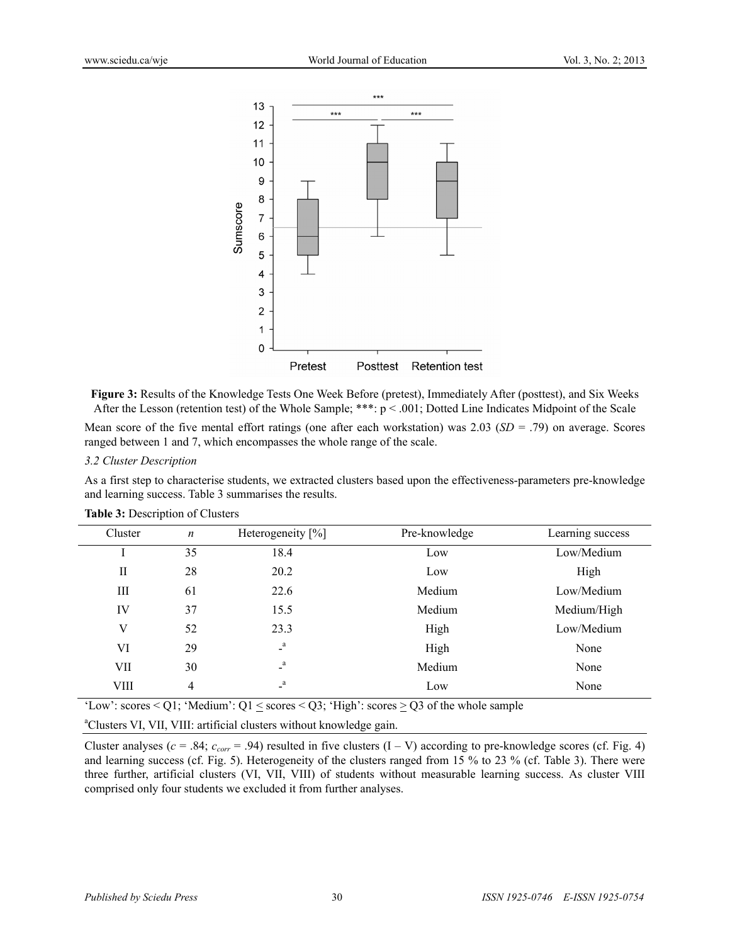

**Figure 3:** Results of the Knowledge Tests One Week Before (pretest), Immediately After (posttest), and Six Weeks After the Lesson (retention test) of the Whole Sample; \*\*\*: p < .001; Dotted Line Indicates Midpoint of the Scale

Mean score of the five mental effort ratings (one after each workstation) was 2.03 (*SD* = .79) on average. Scores ranged between 1 and 7, which encompasses the whole range of the scale.

#### *3.2 Cluster Description*

As a first step to characterise students, we extracted clusters based upon the effectiveness-parameters pre-knowledge and learning success. Table 3 summarises the results.

| Cluster                                           | $\boldsymbol{n}$ | Heterogeneity $[\%]$ | Pre-knowledge                               | Learning success |
|---------------------------------------------------|------------------|----------------------|---------------------------------------------|------------------|
|                                                   | 35               | 18.4                 | Low                                         | Low/Medium       |
| $_{\rm II}$                                       | 28               | 20.2                 | Low                                         | High             |
| Ш                                                 | 61               | 22.6                 | Medium                                      | Low/Medium       |
| IV                                                | 37               | 15.5                 | Medium                                      | Medium/High      |
| V                                                 | 52               | 23.3                 | High                                        | Low/Medium       |
| VI                                                | 29               | $\mathbf{a}$         | High                                        | None             |
| VII                                               | 30               | $\mathsf{a}$         | Medium                                      | None             |
| <b>VIII</b>                                       | 4                | $\mathbf{a}$         | Low                                         | None             |
| $\epsilon$ $\mathbf{r}$ $\mathbf{r}$ $\mathbf{r}$ |                  | .02.07               | $\sim$ 00 00<br>$\sim$ $\sim$ $\sim$ $\sim$ | $\blacksquare$   |

Low': scores  $\leq$  Q1; 'Medium': Q1  $\leq$  scores  $\leq$  Q3; 'High': scores  $\geq$  Q3 of the whole sample

<sup>a</sup>Clusters VI, VII, VIII: artificial clusters without knowledge gain.

Cluster analyses ( $c = .84$ ;  $c_{corr} = .94$ ) resulted in five clusters (I – V) according to pre-knowledge scores (cf. Fig. 4) and learning success (cf. Fig. 5). Heterogeneity of the clusters ranged from 15 % to 23 % (cf. Table 3). There were three further, artificial clusters (VI, VII, VIII) of students without measurable learning success. As cluster VIII comprised only four students we excluded it from further analyses.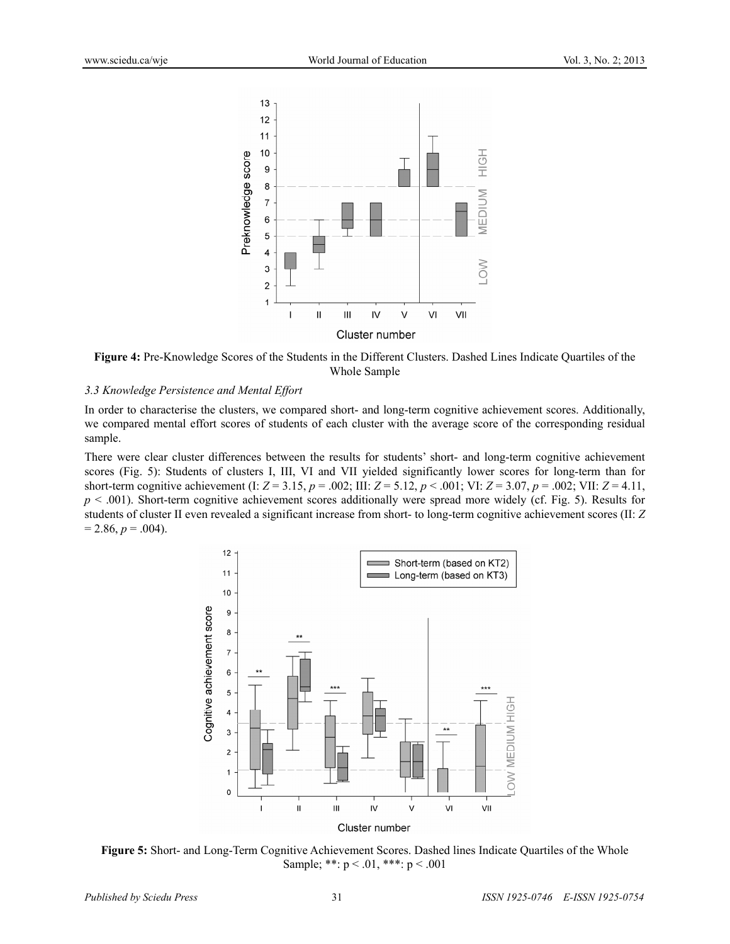

**Figure 4:** Pre-Knowledge Scores of the Students in the Different Clusters. Dashed Lines Indicate Quartiles of the Whole Sample

#### *3.3 Knowledge Persistence and Mental Effort*

In order to characterise the clusters, we compared short- and long-term cognitive achievement scores. Additionally, we compared mental effort scores of students of each cluster with the average score of the corresponding residual sample.

There were clear cluster differences between the results for students' short- and long-term cognitive achievement scores (Fig. 5): Students of clusters I, III, VI and VII yielded significantly lower scores for long-term than for short-term cognitive achievement (I: *Z* = 3.15, *p* = .002; III: *Z* = 5.12, *p* < .001; VI: *Z* = 3.07, *p* = .002; VII: *Z* = 4.11, *p* < .001). Short-term cognitive achievement scores additionally were spread more widely (cf. Fig. 5). Results for students of cluster II even revealed a significant increase from short- to long-term cognitive achievement scores (II: *Z*   $= 2.86, p = .004$ .



**Figure 5:** Short- and Long-Term Cognitive Achievement Scores. Dashed lines Indicate Quartiles of the Whole Sample; \*\*:  $p < .01$ , \*\*\*:  $p < .001$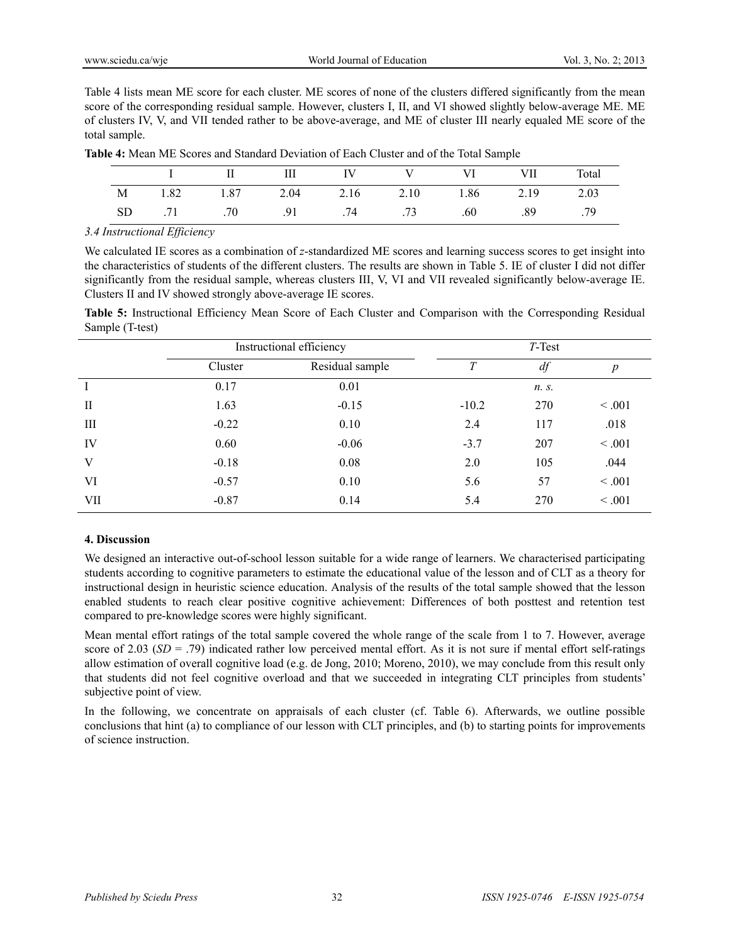Table 4 lists mean ME score for each cluster. ME scores of none of the clusters differed significantly from the mean score of the corresponding residual sample. However, clusters I, II, and VI showed slightly below-average ME. ME of clusters IV, V, and VII tended rather to be above-average, and ME of cluster III nearly equaled ME score of the total sample.

| <b>Table 4:</b> Mean ME Scores and Standard Deviation of Each Cluster and of the Total Sample |  |
|-----------------------------------------------------------------------------------------------|--|
|-----------------------------------------------------------------------------------------------|--|

|     |  |  | I II III IV V VI VII                    |  | Total |
|-----|--|--|-----------------------------------------|--|-------|
| М   |  |  | 1.82 1.87 2.04 2.16 2.10 1.86 2.19 2.03 |  |       |
| SD. |  |  |                                         |  |       |

*3.4 Instructional Efficiency*

We calculated IE scores as a combination of *z*-standardized ME scores and learning success scores to get insight into the characteristics of students of the different clusters. The results are shown in Table 5. IE of cluster I did not differ significantly from the residual sample, whereas clusters III, V, VI and VII revealed significantly below-average IE. Clusters II and IV showed strongly above-average IE scores.

**Table 5:** Instructional Efficiency Mean Score of Each Cluster and Comparison with the Corresponding Residual Sample (T-test)

|              | Instructional efficiency | $T$ -Test       |         |       |                  |
|--------------|--------------------------|-----------------|---------|-------|------------------|
|              | Cluster                  | Residual sample | Т       | df    | $\boldsymbol{p}$ |
| Ι            | 0.17                     | 0.01            |         | n. s. |                  |
| $\mathbf{I}$ | 1.63                     | $-0.15$         | $-10.2$ | 270   | < 0.001          |
| Ш            | $-0.22$                  | 0.10            | 2.4     | 117   | .018             |
| IV           | 0.60                     | $-0.06$         | $-3.7$  | 207   | < 0.001          |
| V            | $-0.18$                  | 0.08            | 2.0     | 105   | .044             |
| VI           | $-0.57$                  | 0.10            | 5.6     | 57    | < 0.001          |
| VII          | $-0.87$                  | 0.14            | 5.4     | 270   | < 0.001          |

# **4. Discussion**

We designed an interactive out-of-school lesson suitable for a wide range of learners. We characterised participating students according to cognitive parameters to estimate the educational value of the lesson and of CLT as a theory for instructional design in heuristic science education. Analysis of the results of the total sample showed that the lesson enabled students to reach clear positive cognitive achievement: Differences of both posttest and retention test compared to pre-knowledge scores were highly significant.

Mean mental effort ratings of the total sample covered the whole range of the scale from 1 to 7. However, average score of 2.03 (*SD* = .79) indicated rather low perceived mental effort. As it is not sure if mental effort self-ratings allow estimation of overall cognitive load (e.g. de Jong, 2010; Moreno, 2010), we may conclude from this result only that students did not feel cognitive overload and that we succeeded in integrating CLT principles from students' subjective point of view.

In the following, we concentrate on appraisals of each cluster (cf. Table 6). Afterwards, we outline possible conclusions that hint (a) to compliance of our lesson with CLT principles, and (b) to starting points for improvements of science instruction.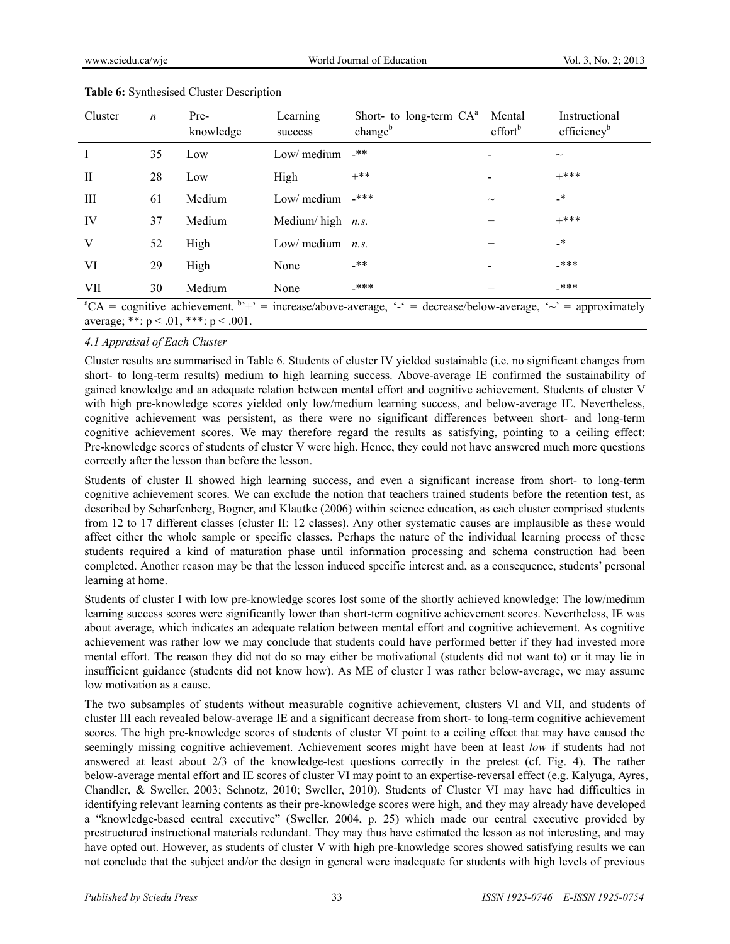| Cluster                                                                                                                                                                                                                                       | $\boldsymbol{n}$ | Pre-<br>knowledge | Learning<br>success | Short- to long-term CA <sup>a</sup> Mental<br>change <sup>b</sup> | effort <sup>b</sup> | Instructional<br>efficiency <sup>b</sup> |
|-----------------------------------------------------------------------------------------------------------------------------------------------------------------------------------------------------------------------------------------------|------------------|-------------------|---------------------|-------------------------------------------------------------------|---------------------|------------------------------------------|
| $\mathbf{I}$                                                                                                                                                                                                                                  | 35               | Low               | Low/medium $-***$   |                                                                   |                     | $\sim$                                   |
| П                                                                                                                                                                                                                                             | 28               | Low               | High                | $+***$                                                            |                     | $+***$                                   |
| Ш                                                                                                                                                                                                                                             | 61               | Medium            | Low/ medium $-***$  |                                                                   | $\sim$              | $\star$                                  |
| IV                                                                                                                                                                                                                                            | 37               | Medium            | Medium/high $n.s.$  |                                                                   | $^{+}$              | $+***$                                   |
| V                                                                                                                                                                                                                                             | 52               | High              | Low/ medium $n.s.$  |                                                                   | $^{+}$              | $\ast$                                   |
| VI                                                                                                                                                                                                                                            | 29               | High              | None                | <b>**</b>                                                         |                     | ***                                      |
| VII                                                                                                                                                                                                                                           | 30               | Medium            | None                | ***                                                               | $+$                 | ***                                      |
| <sup>a</sup> CA = cognitive achievement. <sup>b</sup> <sup>2</sup> + <sup>2</sup> = increase/above-average, $\cdot$ <sup>2</sup> = decrease/below-average, $\cdot$ <sup>2</sup> = approximately<br>average; **: $p < .01$ , ***: $p < .001$ . |                  |                   |                     |                                                                   |                     |                                          |

#### **Table 6:** Synthesised Cluster Description

# *4.1 Appraisal of Each Cluster*

Cluster results are summarised in Table 6. Students of cluster IV yielded sustainable (i.e. no significant changes from short- to long-term results) medium to high learning success. Above-average IE confirmed the sustainability of gained knowledge and an adequate relation between mental effort and cognitive achievement. Students of cluster V with high pre-knowledge scores yielded only low/medium learning success, and below-average IE. Nevertheless, cognitive achievement was persistent, as there were no significant differences between short- and long-term cognitive achievement scores. We may therefore regard the results as satisfying, pointing to a ceiling effect: Pre-knowledge scores of students of cluster V were high. Hence, they could not have answered much more questions correctly after the lesson than before the lesson.

Students of cluster II showed high learning success, and even a significant increase from short- to long-term cognitive achievement scores. We can exclude the notion that teachers trained students before the retention test, as described by Scharfenberg, Bogner, and Klautke (2006) within science education, as each cluster comprised students from 12 to 17 different classes (cluster II: 12 classes). Any other systematic causes are implausible as these would affect either the whole sample or specific classes. Perhaps the nature of the individual learning process of these students required a kind of maturation phase until information processing and schema construction had been completed. Another reason may be that the lesson induced specific interest and, as a consequence, students' personal learning at home.

Students of cluster I with low pre-knowledge scores lost some of the shortly achieved knowledge: The low/medium learning success scores were significantly lower than short-term cognitive achievement scores. Nevertheless, IE was about average, which indicates an adequate relation between mental effort and cognitive achievement. As cognitive achievement was rather low we may conclude that students could have performed better if they had invested more mental effort. The reason they did not do so may either be motivational (students did not want to) or it may lie in insufficient guidance (students did not know how). As ME of cluster I was rather below-average, we may assume low motivation as a cause.

The two subsamples of students without measurable cognitive achievement, clusters VI and VII, and students of cluster III each revealed below-average IE and a significant decrease from short- to long-term cognitive achievement scores. The high pre-knowledge scores of students of cluster VI point to a ceiling effect that may have caused the seemingly missing cognitive achievement. Achievement scores might have been at least *low* if students had not answered at least about 2/3 of the knowledge-test questions correctly in the pretest (cf. Fig. 4). The rather below-average mental effort and IE scores of cluster VI may point to an expertise-reversal effect (e.g. Kalyuga, Ayres, Chandler, & Sweller, 2003; Schnotz, 2010; Sweller, 2010). Students of Cluster VI may have had difficulties in identifying relevant learning contents as their pre-knowledge scores were high, and they may already have developed a "knowledge-based central executive" (Sweller, 2004, p. 25) which made our central executive provided by prestructured instructional materials redundant. They may thus have estimated the lesson as not interesting, and may have opted out. However, as students of cluster V with high pre-knowledge scores showed satisfying results we can not conclude that the subject and/or the design in general were inadequate for students with high levels of previous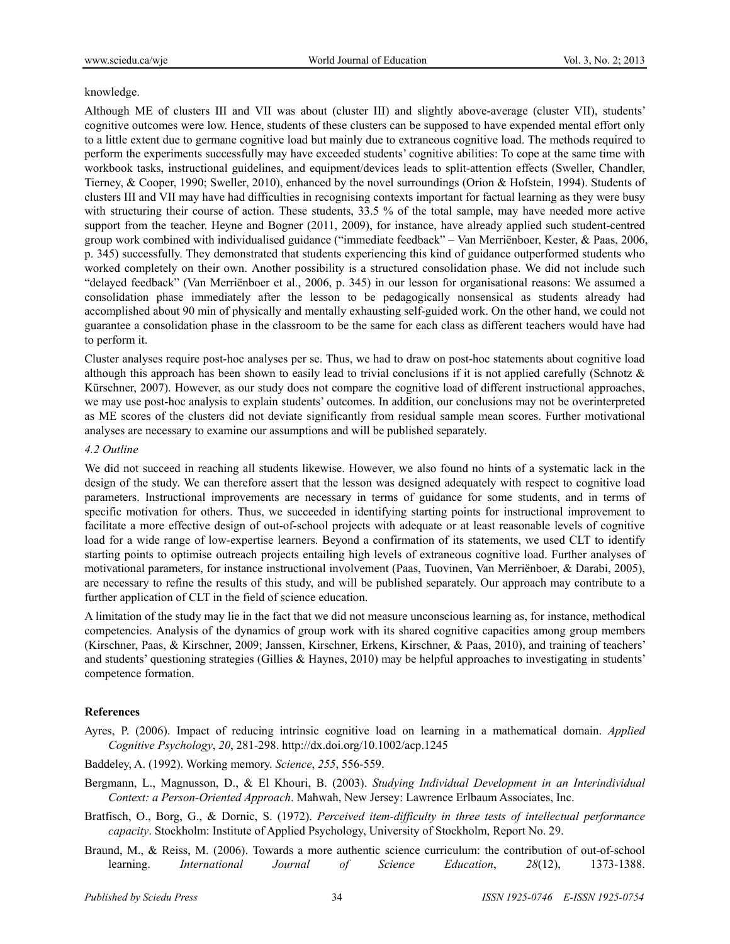#### knowledge.

Although ME of clusters III and VII was about (cluster III) and slightly above-average (cluster VII), students' cognitive outcomes were low. Hence, students of these clusters can be supposed to have expended mental effort only to a little extent due to germane cognitive load but mainly due to extraneous cognitive load. The methods required to perform the experiments successfully may have exceeded students' cognitive abilities: To cope at the same time with workbook tasks, instructional guidelines, and equipment/devices leads to split-attention effects (Sweller, Chandler, Tierney, & Cooper, 1990; Sweller, 2010), enhanced by the novel surroundings (Orion & Hofstein, 1994). Students of clusters III and VII may have had difficulties in recognising contexts important for factual learning as they were busy with structuring their course of action. These students, 33.5 % of the total sample, may have needed more active support from the teacher. Heyne and Bogner (2011, 2009), for instance, have already applied such student-centred group work combined with individualised guidance ("immediate feedback" – Van Merriënboer, Kester, & Paas, 2006, p. 345) successfully. They demonstrated that students experiencing this kind of guidance outperformed students who worked completely on their own. Another possibility is a structured consolidation phase. We did not include such "delayed feedback" (Van Merriënboer et al., 2006, p. 345) in our lesson for organisational reasons: We assumed a consolidation phase immediately after the lesson to be pedagogically nonsensical as students already had accomplished about 90 min of physically and mentally exhausting self-guided work. On the other hand, we could not guarantee a consolidation phase in the classroom to be the same for each class as different teachers would have had to perform it.

Cluster analyses require post-hoc analyses per se. Thus, we had to draw on post-hoc statements about cognitive load although this approach has been shown to easily lead to trivial conclusions if it is not applied carefully (Schnotz  $\&$ Kürschner, 2007). However, as our study does not compare the cognitive load of different instructional approaches, we may use post-hoc analysis to explain students' outcomes. In addition, our conclusions may not be overinterpreted as ME scores of the clusters did not deviate significantly from residual sample mean scores. Further motivational analyses are necessary to examine our assumptions and will be published separately.

#### *4.2 Outline*

We did not succeed in reaching all students likewise. However, we also found no hints of a systematic lack in the design of the study. We can therefore assert that the lesson was designed adequately with respect to cognitive load parameters. Instructional improvements are necessary in terms of guidance for some students, and in terms of specific motivation for others. Thus, we succeeded in identifying starting points for instructional improvement to facilitate a more effective design of out-of-school projects with adequate or at least reasonable levels of cognitive load for a wide range of low-expertise learners. Beyond a confirmation of its statements, we used CLT to identify starting points to optimise outreach projects entailing high levels of extraneous cognitive load. Further analyses of motivational parameters, for instance instructional involvement (Paas, Tuovinen, Van Merriënboer, & Darabi, 2005), are necessary to refine the results of this study, and will be published separately. Our approach may contribute to a further application of CLT in the field of science education.

A limitation of the study may lie in the fact that we did not measure unconscious learning as, for instance, methodical competencies. Analysis of the dynamics of group work with its shared cognitive capacities among group members (Kirschner, Paas, & Kirschner, 2009; Janssen, Kirschner, Erkens, Kirschner, & Paas, 2010), and training of teachers' and students' questioning strategies (Gillies & Haynes, 2010) may be helpful approaches to investigating in students' competence formation.

# **References**

Ayres, P. (2006). Impact of reducing intrinsic cognitive load on learning in a mathematical domain. *Applied Cognitive Psychology*, *20*, 281-298. http://dx.doi.org/10.1002/acp.1245

Baddeley, A. (1992). Working memory. *Science*, *255*, 556-559.

- Bergmann, L., Magnusson, D., & El Khouri, B. (2003). *Studying Individual Development in an Interindividual Context: a Person-Oriented Approach*. Mahwah, New Jersey: Lawrence Erlbaum Associates, Inc.
- Bratfisch, O., Borg, G., & Dornic, S. (1972). *Perceived item-difficulty in three tests of intellectual performance capacity*. Stockholm: Institute of Applied Psychology, University of Stockholm, Report No. 29.
- Braund, M., & Reiss, M. (2006). Towards a more authentic science curriculum: the contribution of out-of-school learning. *International Journal of Science Education*, *28*(12), 1373-1388.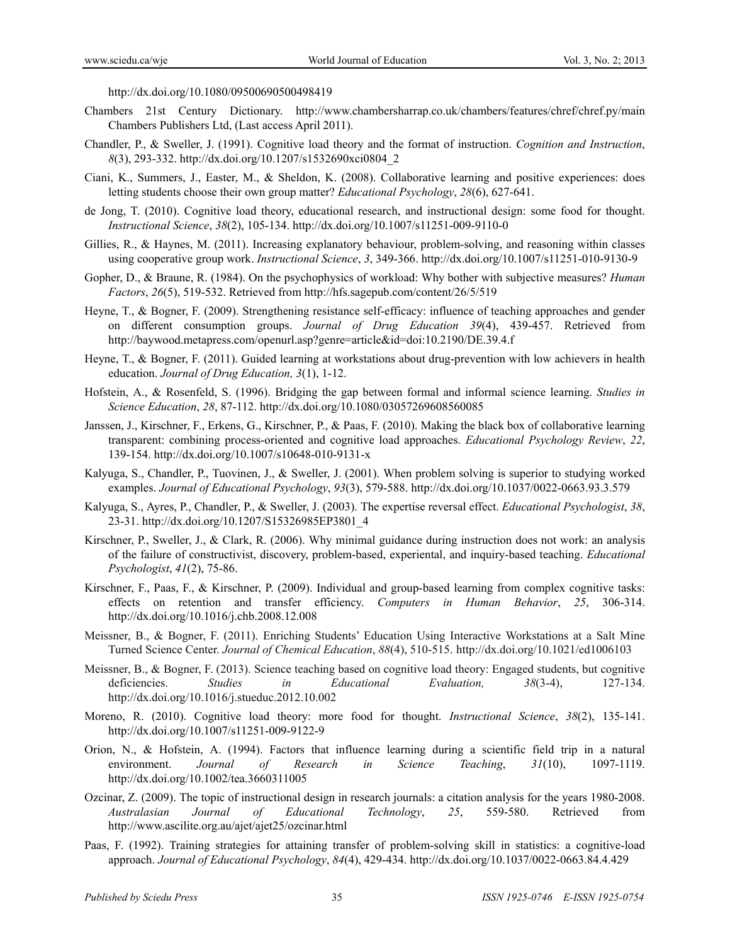http://dx.doi.org/10.1080/09500690500498419

- Chambers 21st Century Dictionary. http://www.chambersharrap.co.uk/chambers/features/chref/chref.py/main Chambers Publishers Ltd, (Last access April 2011).
- Chandler, P., & Sweller, J. (1991). Cognitive load theory and the format of instruction. *Cognition and Instruction*, *8*(3), 293-332. http://dx.doi.org/10.1207/s1532690xci0804\_2
- Ciani, K., Summers, J., Easter, M., & Sheldon, K. (2008). Collaborative learning and positive experiences: does letting students choose their own group matter? *Educational Psychology*, *28*(6), 627-641.
- de Jong, T. (2010). Cognitive load theory, educational research, and instructional design: some food for thought. *Instructional Science*, *38*(2), 105-134. http://dx.doi.org/10.1007/s11251-009-9110-0
- Gillies, R., & Haynes, M. (2011). Increasing explanatory behaviour, problem-solving, and reasoning within classes using cooperative group work. *Instructional Science*, *3*, 349-366. http://dx.doi.org/10.1007/s11251-010-9130-9
- Gopher, D., & Braune, R. (1984). On the psychophysics of workload: Why bother with subjective measures? *Human Factors*, *26*(5), 519-532. Retrieved from http://hfs.sagepub.com/content/26/5/519
- Heyne, T., & Bogner, F. (2009). Strengthening resistance self-efficacy: influence of teaching approaches and gender on different consumption groups. *Journal of Drug Education 39*(4), 439-457. Retrieved from http://baywood.metapress.com/openurl.asp?genre=article&id=doi:10.2190/DE.39.4.f
- Heyne, T., & Bogner, F. (2011). Guided learning at workstations about drug-prevention with low achievers in health education. *Journal of Drug Education, 3*(1), 1-12.
- Hofstein, A., & Rosenfeld, S. (1996). Bridging the gap between formal and informal science learning. *Studies in Science Education*, *28*, 87-112. http://dx.doi.org/10.1080/03057269608560085
- Janssen, J., Kirschner, F., Erkens, G., Kirschner, P., & Paas, F. (2010). Making the black box of collaborative learning transparent: combining process-oriented and cognitive load approaches. *Educational Psychology Review*, *22*, 139-154. http://dx.doi.org/10.1007/s10648-010-9131-x
- Kalyuga, S., Chandler, P., Tuovinen, J., & Sweller, J. (2001). When problem solving is superior to studying worked examples. *Journal of Educational Psychology*, *93*(3), 579-588. http://dx.doi.org/10.1037/0022-0663.93.3.579
- Kalyuga, S., Ayres, P., Chandler, P., & Sweller, J. (2003). The expertise reversal effect. *Educational Psychologist*, *38*, 23-31. http://dx.doi.org/10.1207/S15326985EP3801\_4
- Kirschner, P., Sweller, J., & Clark, R. (2006). Why minimal guidance during instruction does not work: an analysis of the failure of constructivist, discovery, problem-based, experiental, and inquiry-based teaching. *Educational Psychologist*, *41*(2), 75-86.
- Kirschner, F., Paas, F., & Kirschner, P. (2009). Individual and group-based learning from complex cognitive tasks: effects on retention and transfer efficiency. *Computers in Human Behavior*, *25*, 306-314. http://dx.doi.org/10.1016/j.chb.2008.12.008
- Meissner, B., & Bogner, F. (2011). Enriching Students' Education Using Interactive Workstations at a Salt Mine Turned Science Center. *Journal of Chemical Education*, *88*(4), 510-515. http://dx.doi.org/10.1021/ed1006103
- Meissner, B., & Bogner, F. (2013). Science teaching based on cognitive load theory: Engaged students, but cognitive deficiencies. *Studies in Educational Evaluation, 38*(3-4), 127-134. http://dx.doi.org/10.1016/j.stueduc.2012.10.002
- Moreno, R. (2010). Cognitive load theory: more food for thought. *Instructional Science*, *38*(2), 135-141. http://dx.doi.org/10.1007/s11251-009-9122-9
- Orion, N., & Hofstein, A. (1994). Factors that influence learning during a scientific field trip in a natural environment. *Journal of Research in Science Teaching*, *31*(10), 1097-1119. http://dx.doi.org/10.1002/tea.3660311005
- Ozcinar, Z. (2009). The topic of instructional design in research journals: a citation analysis for the years 1980-2008. *Australasian Journal of Educational Technology*, *25*, 559-580. Retrieved from http://www.ascilite.org.au/ajet/ajet25/ozcinar.html
- Paas, F. (1992). Training strategies for attaining transfer of problem-solving skill in statistics: a cognitive-load approach. *Journal of Educational Psychology*, *84*(4), 429-434. http://dx.doi.org/10.1037/0022-0663.84.4.429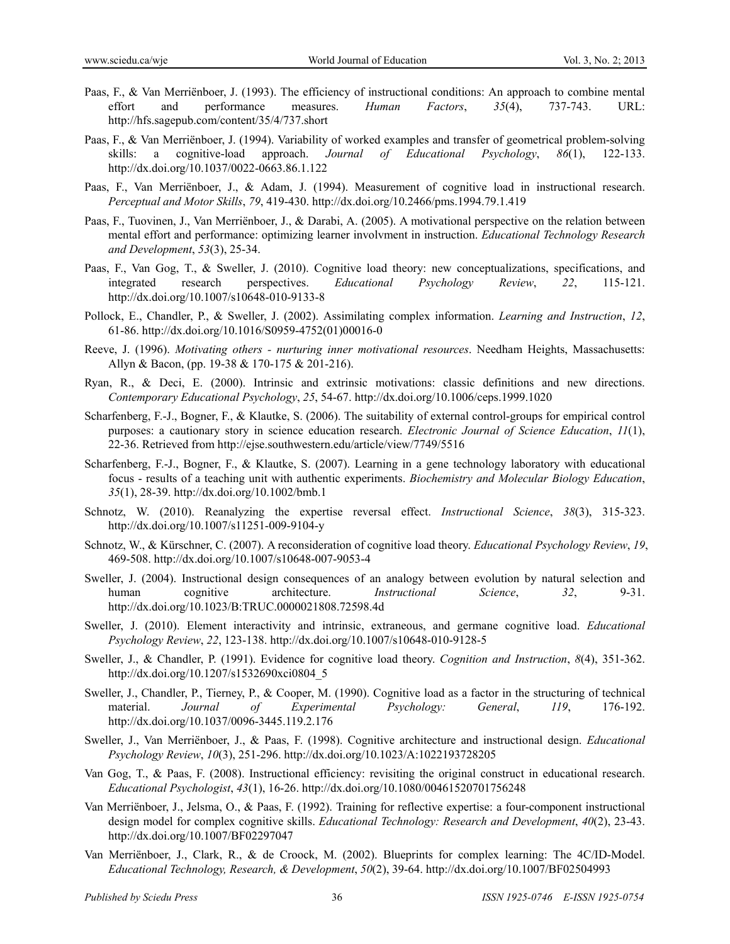- Paas, F., & Van Merriënboer, J. (1993). The efficiency of instructional conditions: An approach to combine mental effort and performance measures. *Human Factors*, *35*(4), 737-743. URL: http://hfs.sagepub.com/content/35/4/737.short
- Paas, F., & Van Merriënboer, J. (1994). Variability of worked examples and transfer of geometrical problem-solving skills: a cognitive-load approach. *Journal of Educational Psychology*, *86*(1), 122-133. http://dx.doi.org/10.1037/0022-0663.86.1.122
- Paas, F., Van Merriënboer, J., & Adam, J. (1994). Measurement of cognitive load in instructional research. *Perceptual and Motor Skills*, *79*, 419-430. http://dx.doi.org/10.2466/pms.1994.79.1.419
- Paas, F., Tuovinen, J., Van Merriënboer, J., & Darabi, A. (2005). A motivational perspective on the relation between mental effort and performance: optimizing learner involvment in instruction. *Educational Technology Research and Development*, *53*(3), 25-34.
- Paas, F., Van Gog, T., & Sweller, J. (2010). Cognitive load theory: new conceptualizations, specifications, and integrated research perspectives. *Educational Psychology Review*, *22*, 115-121. http://dx.doi.org/10.1007/s10648-010-9133-8
- Pollock, E., Chandler, P., & Sweller, J. (2002). Assimilating complex information. *Learning and Instruction*, *12*, 61-86. http://dx.doi.org/10.1016/S0959-4752(01)00016-0
- Reeve, J. (1996). *Motivating others nurturing inner motivational resources*. Needham Heights, Massachusetts: Allyn & Bacon, (pp. 19-38 & 170-175 & 201-216).
- Ryan, R., & Deci, E. (2000). Intrinsic and extrinsic motivations: classic definitions and new directions. *Contemporary Educational Psychology*, *25*, 54-67. http://dx.doi.org/10.1006/ceps.1999.1020
- Scharfenberg, F.-J., Bogner, F., & Klautke, S. (2006). The suitability of external control-groups for empirical control purposes: a cautionary story in science education research. *Electronic Journal of Science Education*, *11*(1), 22-36. Retrieved from http://ejse.southwestern.edu/article/view/7749/5516
- Scharfenberg, F.-J., Bogner, F., & Klautke, S. (2007). Learning in a gene technology laboratory with educational focus - results of a teaching unit with authentic experiments. *Biochemistry and Molecular Biology Education*, *35*(1), 28-39. http://dx.doi.org/10.1002/bmb.1
- Schnotz, W. (2010). Reanalyzing the expertise reversal effect. *Instructional Science*, *38*(3), 315-323. http://dx.doi.org/10.1007/s11251-009-9104-y
- Schnotz, W., & Kürschner, C. (2007). A reconsideration of cognitive load theory. *Educational Psychology Review*, *19*, 469-508. http://dx.doi.org/10.1007/s10648-007-9053-4
- Sweller, J. (2004). Instructional design consequences of an analogy between evolution by natural selection and human cognitive architecture. *Instructional Science*, *32*, 9-31. http://dx.doi.org/10.1023/B:TRUC.0000021808.72598.4d
- Sweller, J. (2010). Element interactivity and intrinsic, extraneous, and germane cognitive load. *Educational Psychology Review*, *22*, 123-138. http://dx.doi.org/10.1007/s10648-010-9128-5
- Sweller, J., & Chandler, P. (1991). Evidence for cognitive load theory. *Cognition and Instruction*, *8*(4), 351-362. http://dx.doi.org/10.1207/s1532690xci0804\_5
- Sweller, J., Chandler, P., Tierney, P., & Cooper, M. (1990). Cognitive load as a factor in the structuring of technical material. *Journal of Experimental Psychology: General*, *119*, 176-192. http://dx.doi.org/10.1037/0096-3445.119.2.176
- Sweller, J., Van Merriënboer, J., & Paas, F. (1998). Cognitive architecture and instructional design. *Educational Psychology Review*, *10*(3), 251-296. http://dx.doi.org/10.1023/A:1022193728205
- Van Gog, T., & Paas, F. (2008). Instructional efficiency: revisiting the original construct in educational research. *Educational Psychologist*, *43*(1), 16-26. http://dx.doi.org/10.1080/00461520701756248
- Van Merriënboer, J., Jelsma, O., & Paas, F. (1992). Training for reflective expertise: a four-component instructional design model for complex cognitive skills. *Educational Technology: Research and Development*, *40*(2), 23-43. http://dx.doi.org/10.1007/BF02297047
- Van Merriënboer, J., Clark, R., & de Croock, M. (2002). Blueprints for complex learning: The 4C/ID-Model. *Educational Technology, Research, & Development*, *50*(2), 39-64. http://dx.doi.org/10.1007/BF02504993